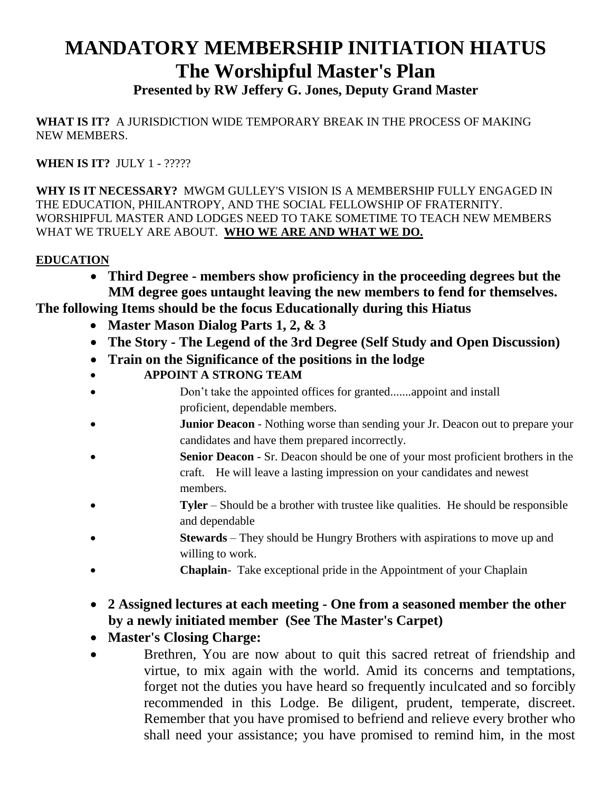## **MANDATORY MEMBERSHIP INITIATION HIATUS The Worshipful Master's Plan**

**Presented by RW Jeffery G. Jones, Deputy Grand Master**

**WHAT IS IT?** A JURISDICTION WIDE TEMPORARY BREAK IN THE PROCESS OF MAKING NEW MEMBERS.

**WHEN IS IT?** JULY 1 - ?????

**WHY IS IT NECESSARY?** MWGM GULLEY'S VISION IS A MEMBERSHIP FULLY ENGAGED IN THE EDUCATION, PHILANTROPY, AND THE SOCIAL FELLOWSHIP OF FRATERNITY. WORSHIPFUL MASTER AND LODGES NEED TO TAKE SOMETIME TO TEACH NEW MEMBERS WHAT WE TRUELY ARE ABOUT. **WHO WE ARE AND WHAT WE DO.**

## **EDUCATION**

 **Third Degree - members show proficiency in the proceeding degrees but the MM degree goes untaught leaving the new members to fend for themselves.** 

**The following Items should be the focus Educationally during this Hiatus**

- **Master Mason Dialog Parts 1, 2, & 3**
- **The Story - The Legend of the 3rd Degree (Self Study and Open Discussion)**
- **Train on the Significance of the positions in the lodge**
- **APPOINT A STRONG TEAM**
- Don't take the appointed offices for granted.......appoint and install proficient, dependable members.
- **Junior Deacon** Nothing worse than sending your Jr. Deacon out to prepare your candidates and have them prepared incorrectly.
- **Senior Deacon** Sr. Deacon should be one of your most proficient brothers in the craft. He will leave a lasting impression on your candidates and newest members.
- **Tyler** Should be a brother with trustee like qualities. He should be responsible and dependable
- **Stewards** They should be Hungry Brothers with aspirations to move up and willing to work.
- **Chaplain** Take exceptional pride in the Appointment of your Chaplain
- **2 Assigned lectures at each meeting - One from a seasoned member the other by a newly initiated member (See The Master's Carpet)**
- **Master's Closing Charge:**
- Brethren, You are now about to quit this sacred retreat of friendship and virtue, to mix again with the world. Amid its concerns and temptations, forget not the duties you have heard so frequently inculcated and so forcibly recommended in this Lodge. Be diligent, prudent, temperate, discreet. Remember that you have promised to befriend and relieve every brother who shall need your assistance; you have promised to remind him, in the most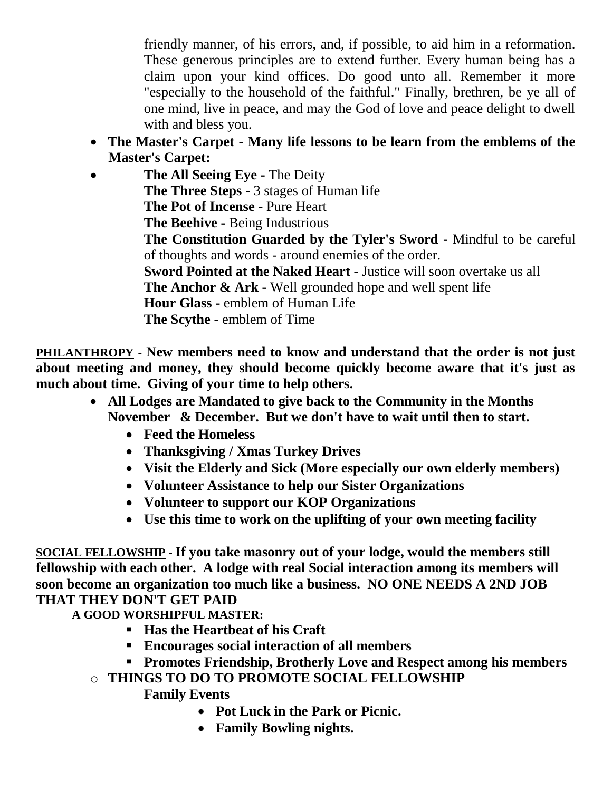friendly manner, of his errors, and, if possible, to aid him in a reformation. These generous principles are to extend further. Every human being has a claim upon your kind offices. Do good unto all. Remember it more "especially to the household of the faithful." Finally, brethren, be ye all of one mind, live in peace, and may the God of love and peace delight to dwell with and bless you.

 **The Master's Carpet - Many life lessons to be learn from the emblems of the Master's Carpet:**

 **The All Seeing Eye -** The Deity **The Three Steps -** 3 stages of Human life **The Pot of Incense -** Pure Heart **The Beehive -** Being Industrious **The Constitution Guarded by the Tyler's Sword -** Mindful to be careful of thoughts and words - around enemies of the order. **Sword Pointed at the Naked Heart -** Justice will soon overtake us all **The Anchor & Ark -** Well grounded hope and well spent life **Hour Glass -** emblem of Human Life **The Scythe -** emblem of Time

**PHILANTHROPY - New members need to know and understand that the order is not just about meeting and money, they should become quickly become aware that it's just as much about time. Giving of your time to help others.** 

- **All Lodges are Mandated to give back to the Community in the Months November & December. But we don't have to wait until then to start.**
	- **Feed the Homeless**
	- **Thanksgiving / Xmas Turkey Drives**
	- **Visit the Elderly and Sick (More especially our own elderly members)**
	- **Volunteer Assistance to help our Sister Organizations**
	- **Volunteer to support our KOP Organizations**
	- **Use this time to work on the uplifting of your own meeting facility**

**SOCIAL FELLOWSHIP - If you take masonry out of your lodge, would the members still fellowship with each other. A lodge with real Social interaction among its members will soon become an organization too much like a business. NO ONE NEEDS A 2ND JOB THAT THEY DON'T GET PAID** 

**A GOOD WORSHIPFUL MASTER:**

- **Has the Heartbeat of his Craft**
- **Encourages social interaction of all members**
- **Promotes Friendship, Brotherly Love and Respect among his members**
- o **THINGS TO DO TO PROMOTE SOCIAL FELLOWSHIP**

**Family Events** 

- **Pot Luck in the Park or Picnic.**
- **Family Bowling nights.**